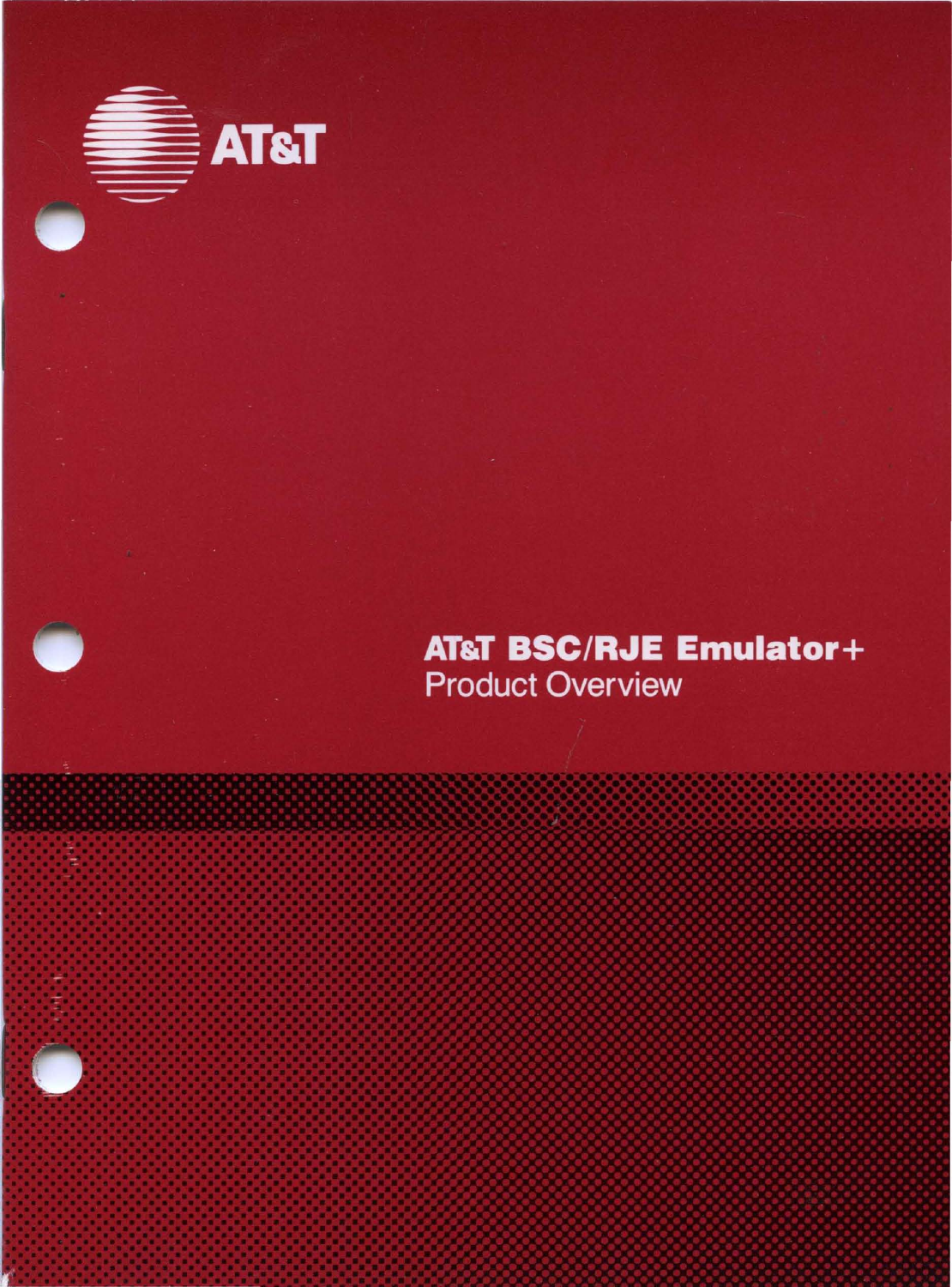# **AT&T BSC/RJE Emulator+ Product Overview**

AT&T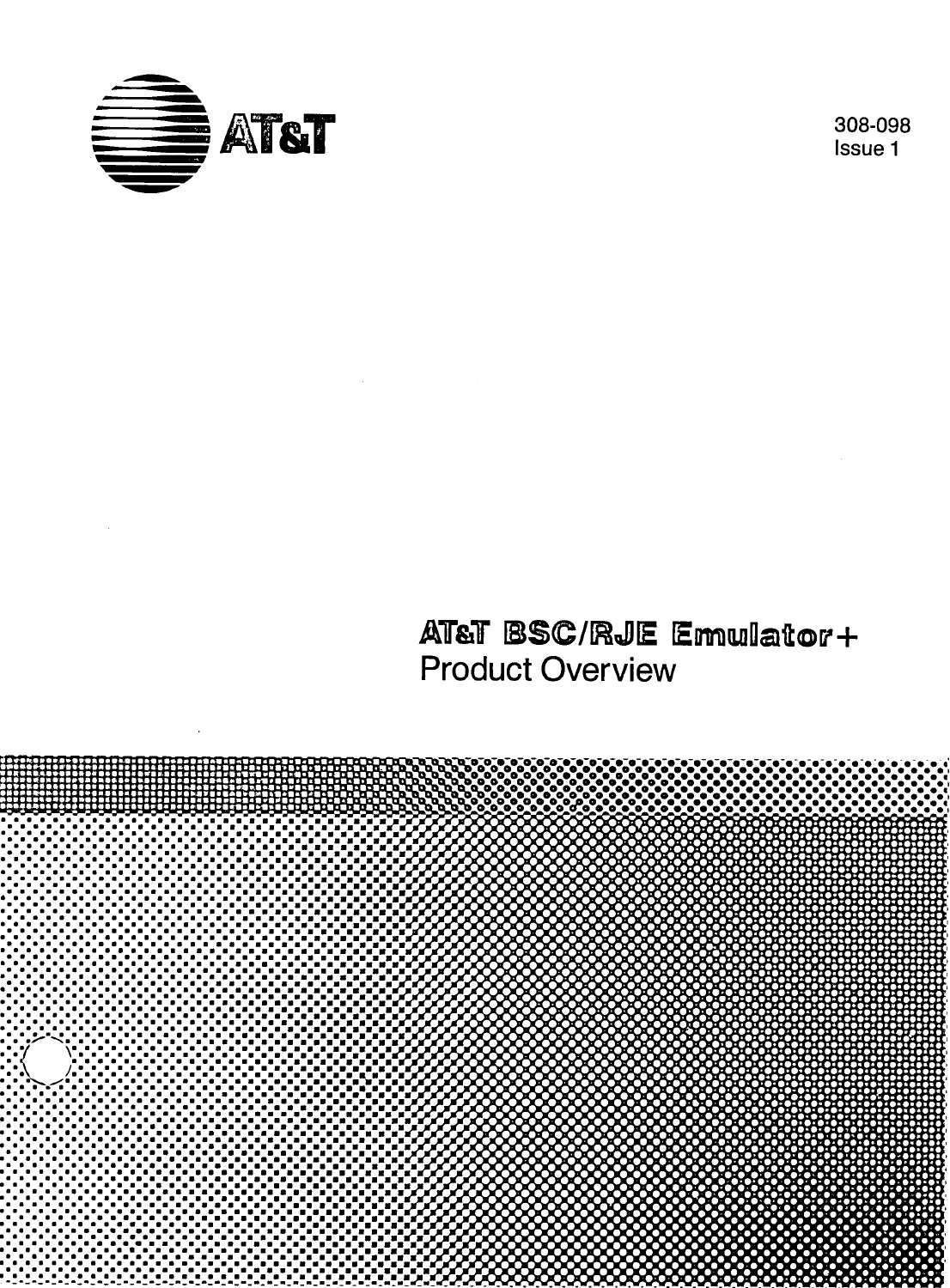

308-098 Issue 1

# AT&T BSC/RJE Emulator+ **Product Overview**

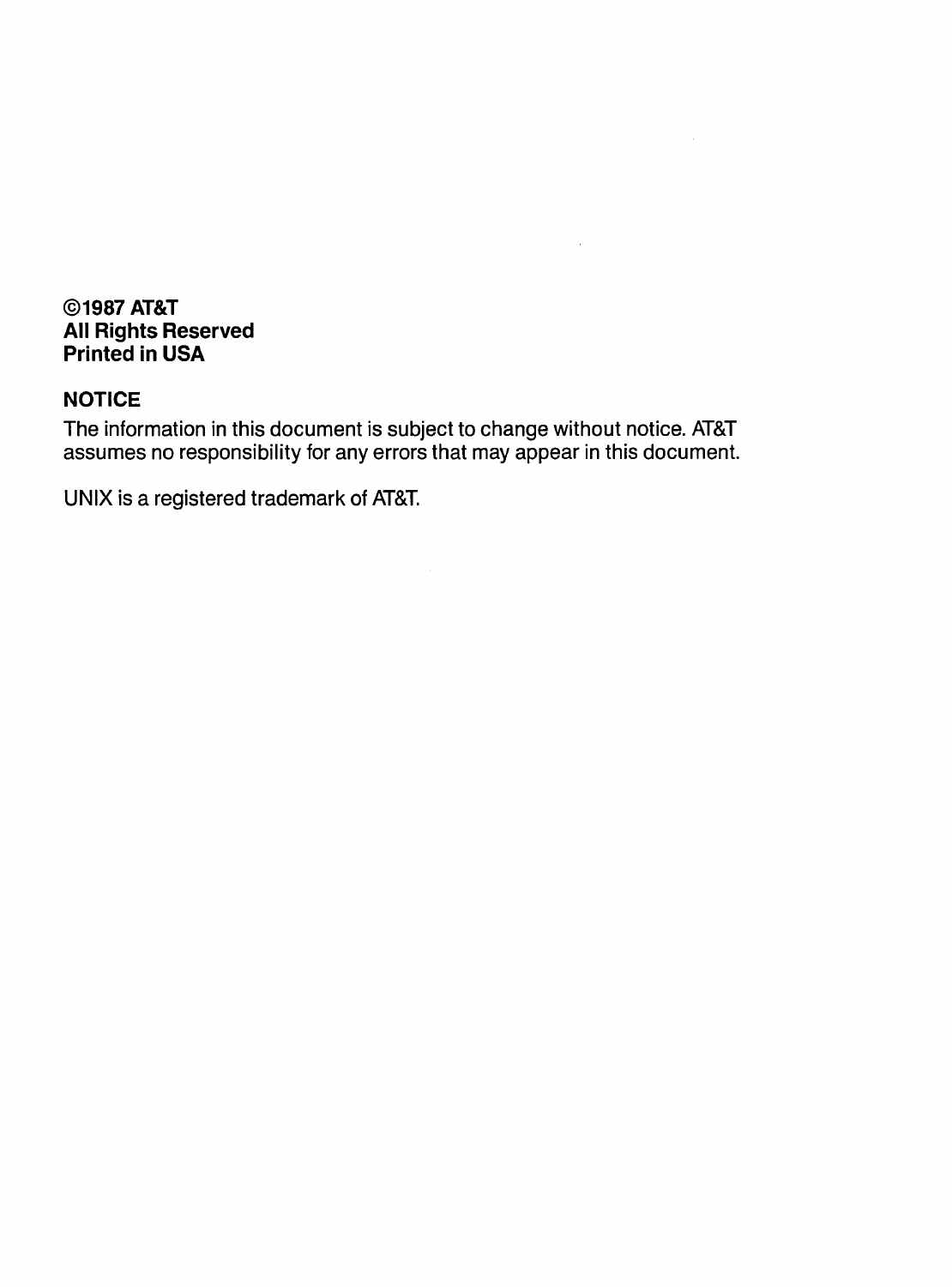©1987 **AT&T All Rights Reserved Printed in USA** 

#### **NOTICE**

The information in this document is subject to change without notice. AT&T assumes no responsibility for any errors that may appear in this document.

UNIX is a registered trademark of AT&T.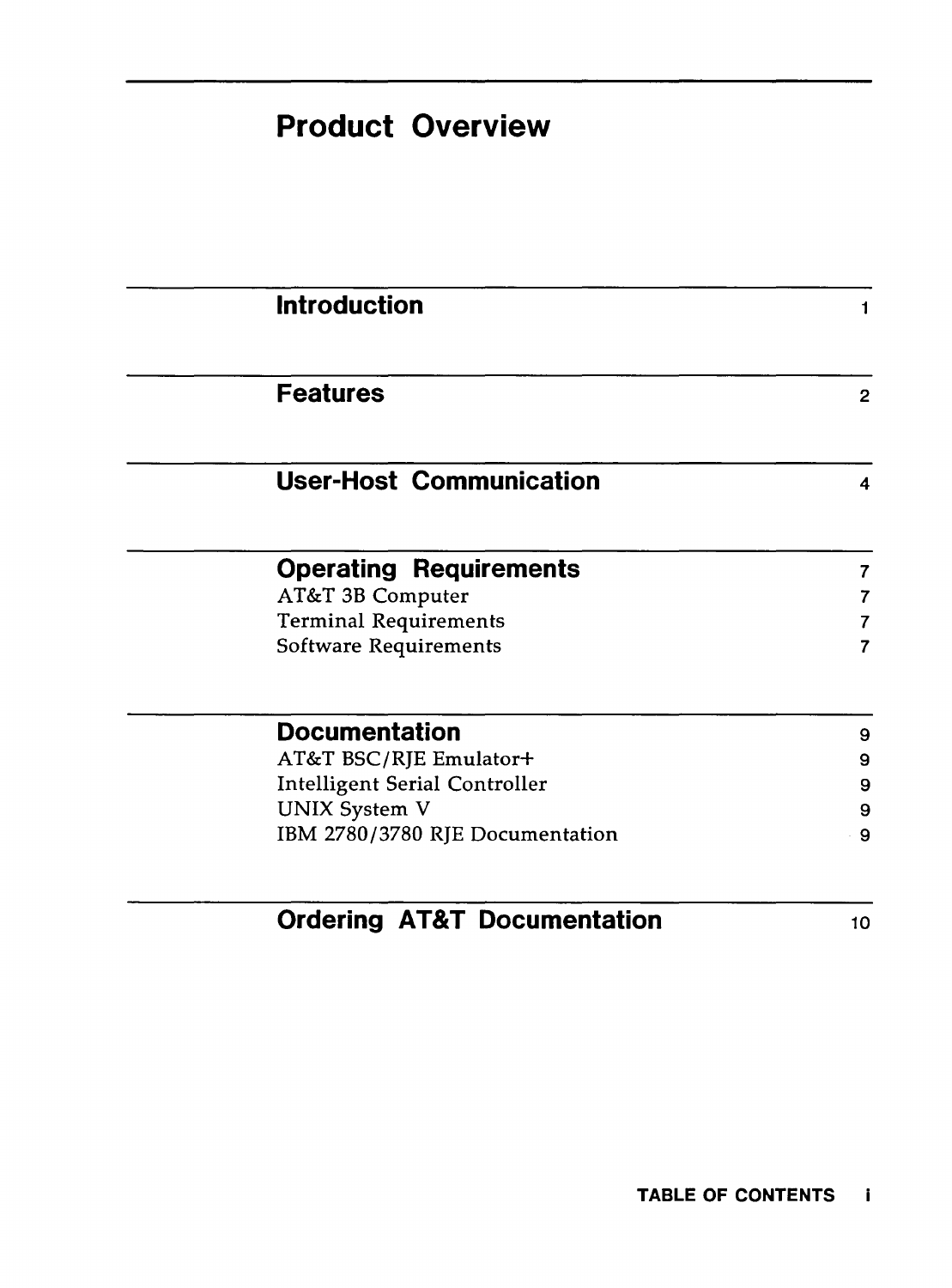## **Product Overview**

| <b>Introduction</b>                                     |                |
|---------------------------------------------------------|----------------|
| <b>Features</b>                                         | $\overline{2}$ |
| <b>User-Host Communication</b>                          | 4              |
| <b>Operating Requirements</b>                           | 7              |
| AT&T 3B Computer<br><b>Terminal Requirements</b>        |                |
| <b>Software Requirements</b>                            | 7              |
| <b>Documentation</b>                                    | 9              |
| AT&T BSC/RJE Emulator+<br>Intelligent Serial Controller | 9<br>9         |
| <b>UNIX System V</b>                                    | 9              |
| IBM 2780/3780 RJE Documentation                         | 9              |

### **Ordering AT&T Documentation**

10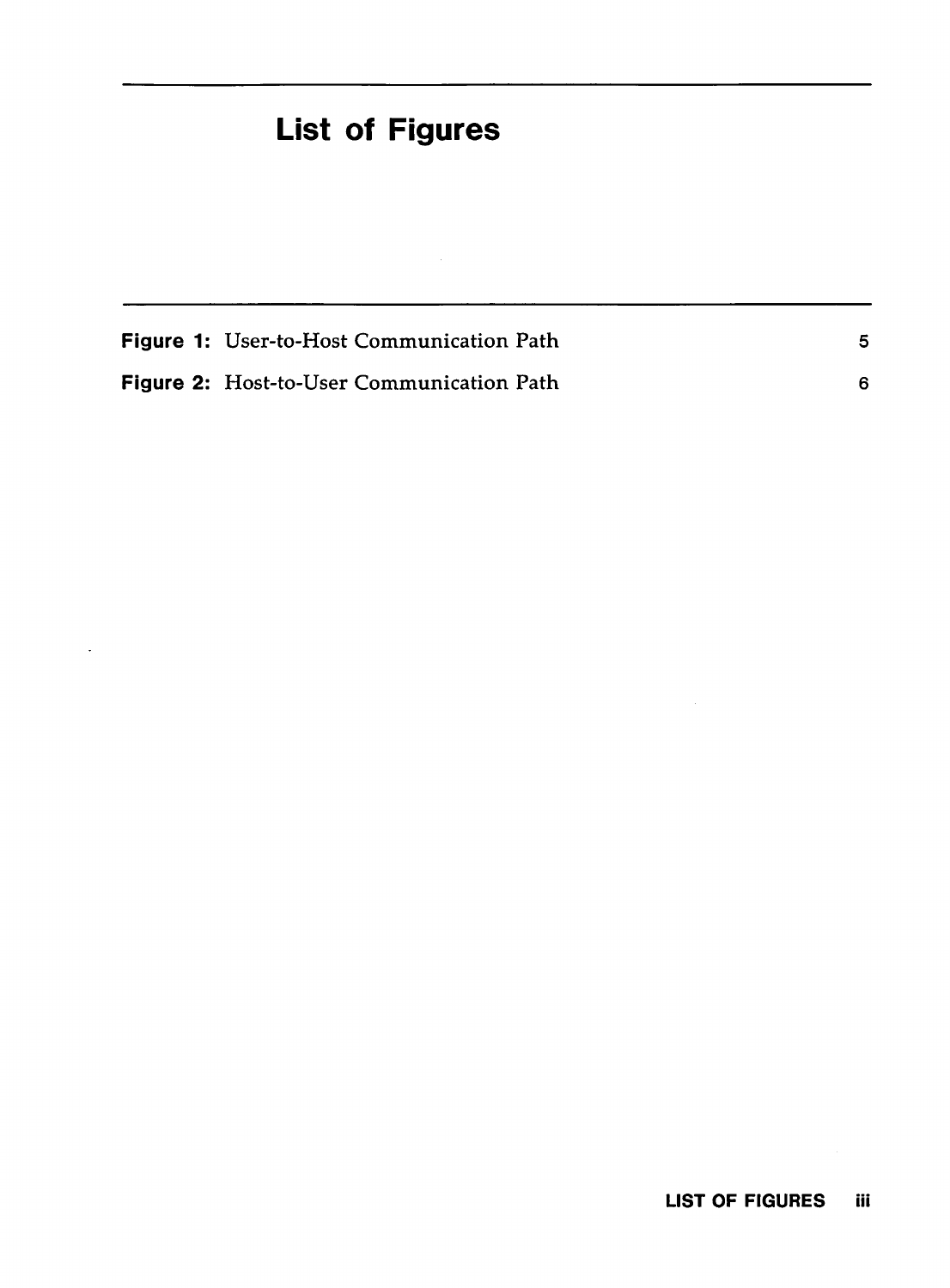# **List of Figures**

 $\ddot{\phantom{a}}$ 

| <b>Figure 1:</b> User-to-Host Communication Path |   |
|--------------------------------------------------|---|
| <b>Figure 2:</b> Host-to-User Communication Path | 6 |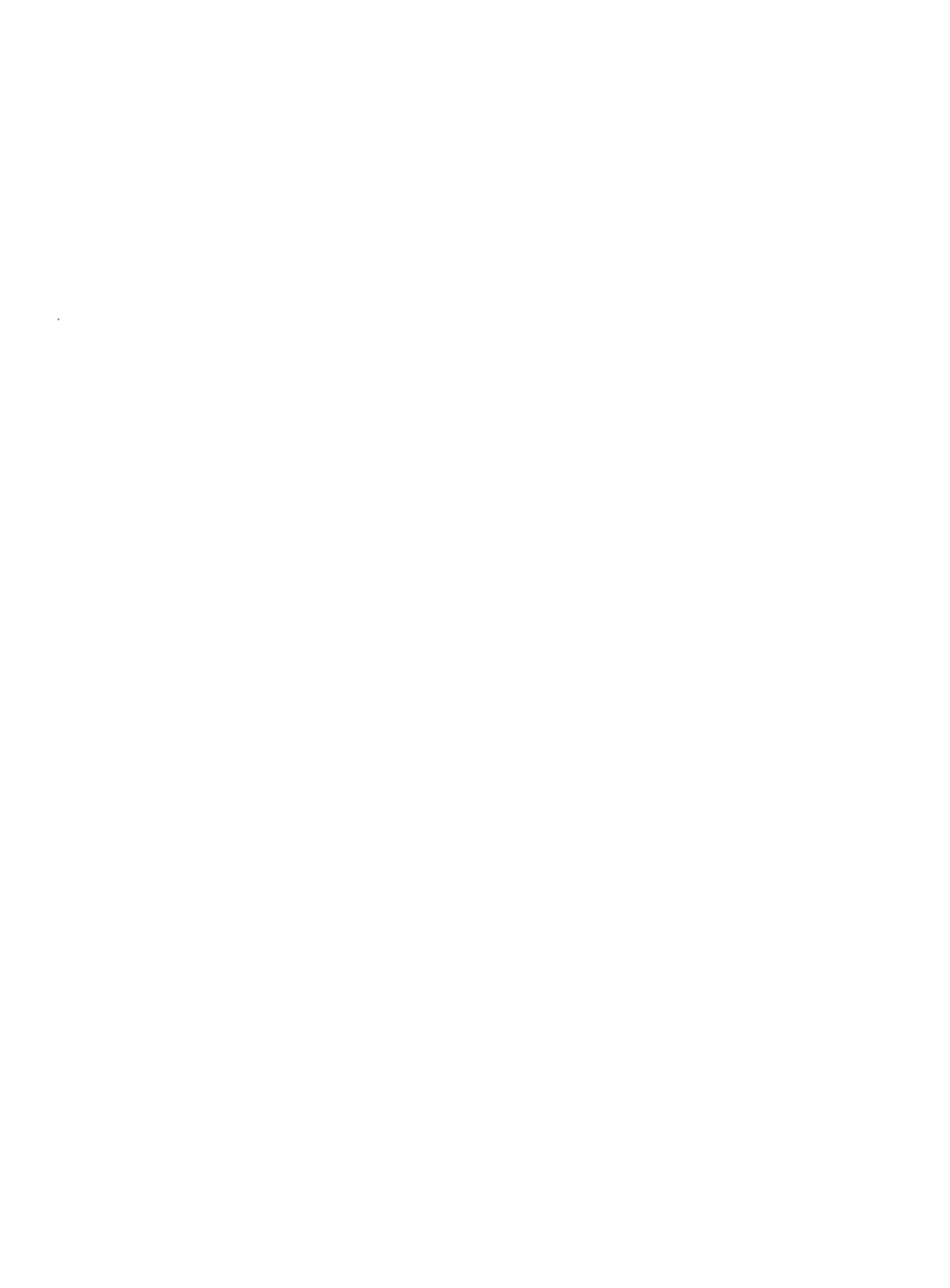$\mathcal{L}(\mathcal{A})$  and  $\mathcal{L}(\mathcal{A})$  .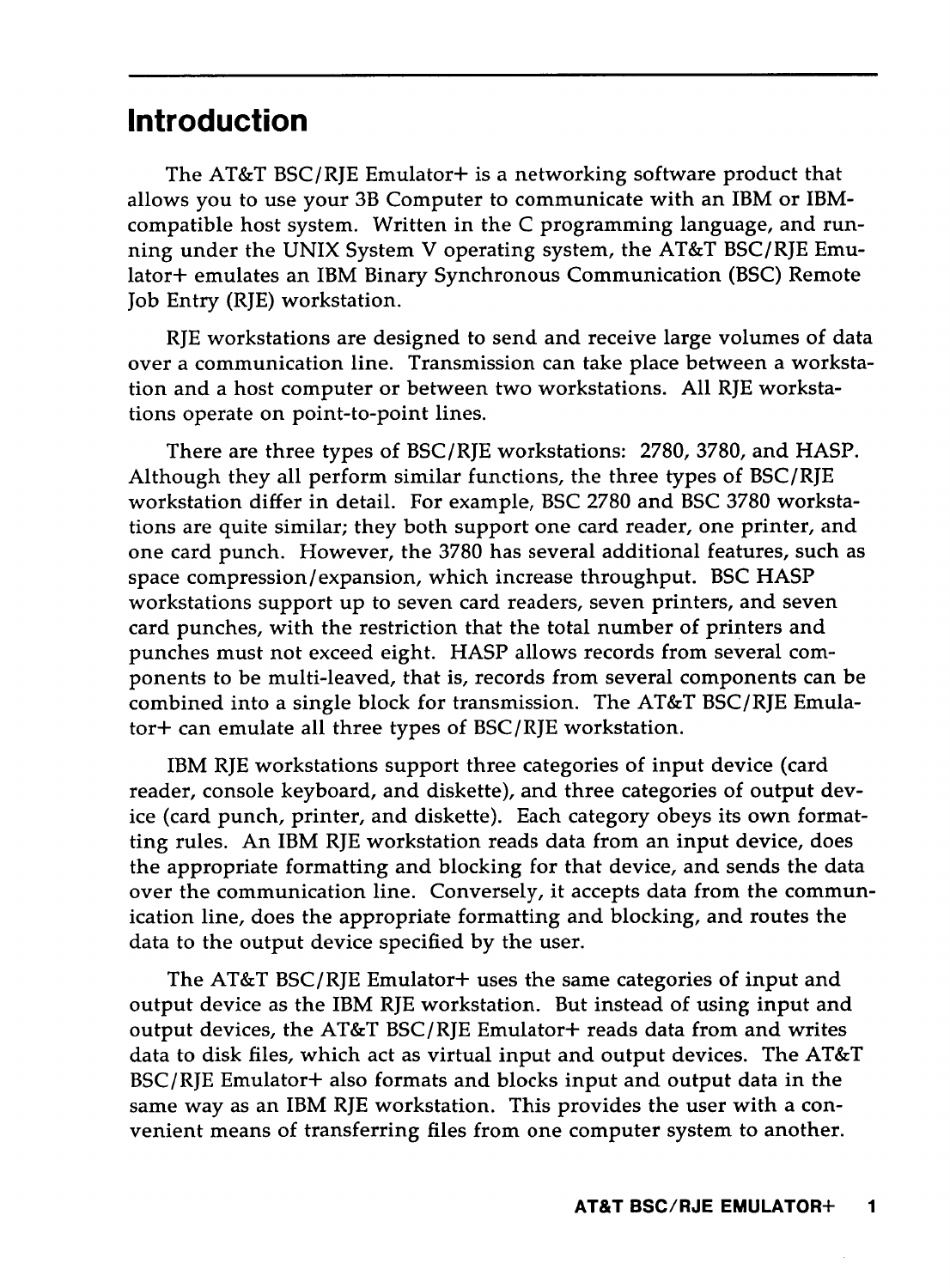### **Introduction**

The AT&T BSC/RJE Emulator+ is a networking software product that allows you to use your 3B Computer to communicate with an IBM or IBMcompatible host system. Written in the C programming language, and running under the UNIX System V operating system, the AT&T BSC/RJE Emulator+ emulates an IBM Binary Synchronous Communication (BSC) Remote Job Entry (RJE) workstation.

RJE workstations are designed to send and receive large volumes of data over a communication line. Transmission can take place between a workstation and a host computer or between two workstations. All RJE workstations operate on point-to-point lines.

There are three types of BSC/RJE workstations: 2780, 3780, and HASP. Although they all perform similar functions, the three types of BSC/RJE workstation differ in detail. For example, BSC 2780 and BSC 3780 workstations are quite similar; they both support one card reader, one printer, and one card punch. However, the 3780 has several additional features, such as space compression/expansion, which increase throughput. BSC HASP workstations support up to seven card readers, seven printers, and seven card punches, with the restriction that the total number of printers and punches must not exceed eight. HASP allows records from several components to be multi-leaved, that is, records from several components can be combined into a single block for transmission. The AT&T BSC/RJE Emulator+ can emulate all three types of BSC/RJE workstation.

IBM RJE workstations support three categories of input device (card reader, console keyboard, and diskette), and three categories of output device (card punch, printer, and diskette). Each category obeys its own formatting rules. An IBM RJE workstation reads data from an input device, does the appropriate formatting and blocking for that device, and sends the data over the communication line. Conversely, it accepts data from the communication line, does the appropriate formatting and blocking, and routes the data to the output device specified by the user.

The AT&T BSC/RJE Emulator+ uses the same categories of input and output device as the IBM RJE workstation. But instead of using input and output devices, the AT&T BSC/RJE Emulator+ reads data from and writes data to disk files, which act as virtual input and output devices. The AT&T BSC/RJE Emulator+ also formats and blocks input and output data in the same way as an IBM RJE workstation. This provides the user with a convenient means of transferring files from one computer system to another.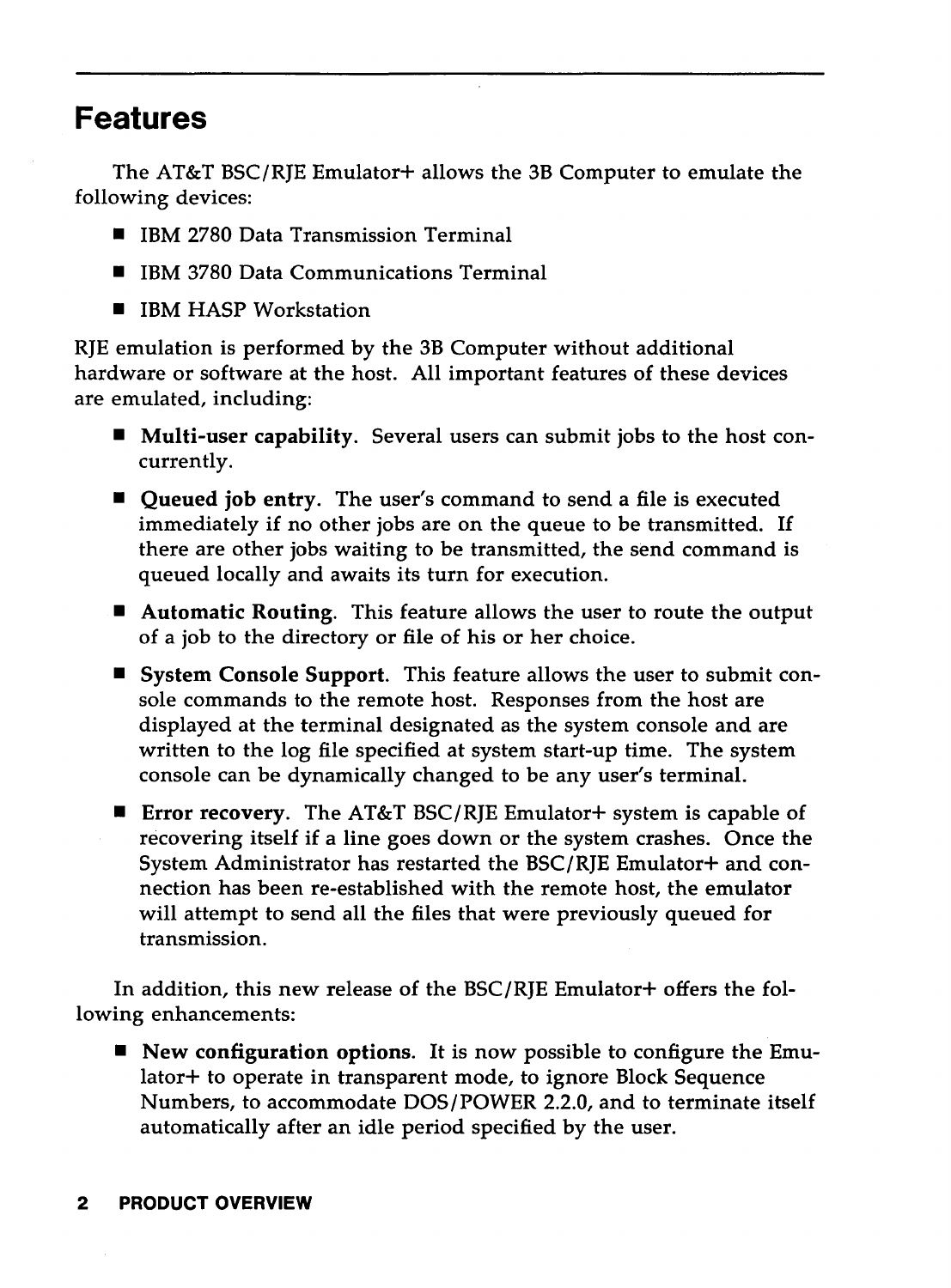## **Features**

The AT&T BSC/RJE Emulator+ allows the 3B Computer to emulate the following devices:

- **IBM 2780 Data Transmission Terminal**
- IBM 3780 Data Communications Terminal
- **IBM HASP Workstation**

RJE emulation is performed by the 3B Computer without additional hardware or software at the host. All important features of these devices are emulated, including:

- Multi-user capability. Several users can submit jobs to the host concurrently.
- $\blacksquare$  Queued job entry. The user's command to send a file is executed immediately if no other jobs are on the queue to be transmitted. If there are other jobs waiting to be transmitted, the send command is queued locally and awaits its turn for execution.
- Automatic Routing. This feature allows the user to route the output of a job to the directory or file of his or her choice.
- System Console Support. This feature allows the user to submit console commands to the remote host. Responses from the host are displayed at the terminal designated as the system console and are written to the log file specified at system start-up time. The system console can be dynamically changed to be any user's terminal.
- Error recovery. The AT&T BSC/RJE Emulator+ system is capable of recovering itself if a line goes down or the system crashes. Once the System Administrator has restarted the BSC/RJE Emulator+ and connection has been re-established with the remote host, the emulator will attempt to send all the files that were previously queued for transmission.

In addition, this new release of the BSC/RJE Emulator+ offers the following enhancements:

• New configuration options. It is now possible to configure the Emulator+ to operate in transparent mode, to ignore Block Sequence Numbers, to accommodate DOS/POWER 2.2.0, and to terminate itself automatically after an idle period specified by the user.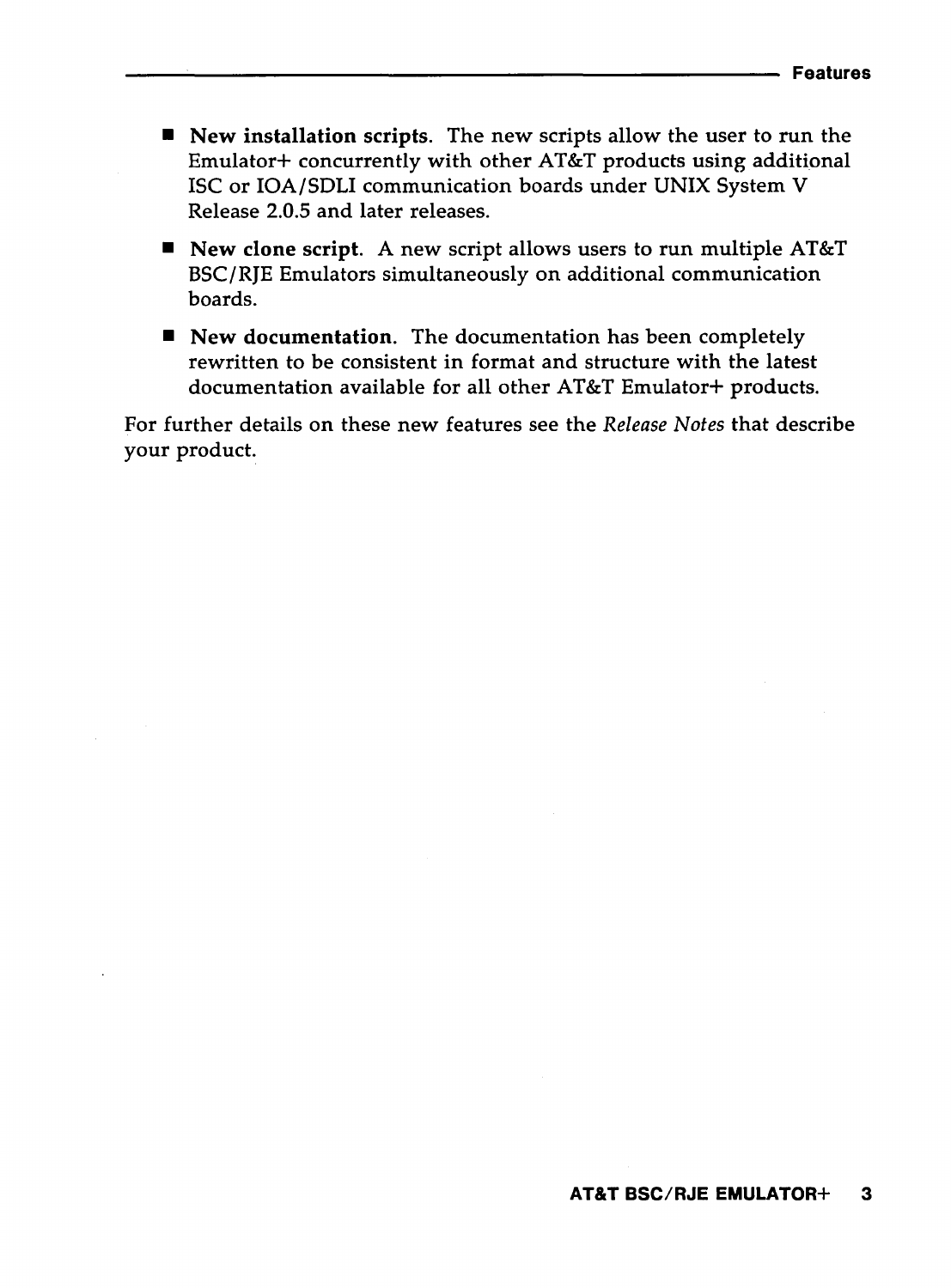- New installation scripts. The new scripts allow the user to run the Emulator+ concurrently with other AT&T products using additional ISC or lOA/SOLI communication boards under UNIX System V Release 2.0.5 and later releases.
- New clone script. A new script allows users to run multiple AT&T BSC/RJE Emulators simultaneously on additional communication boards.
- **New documentation.** The documentation has been completely rewritten to be consistent in format and structure with the latest documentation available for all other AT&T Emulator+ products.

For further details on these new features see the *Release Notes* that describe your product.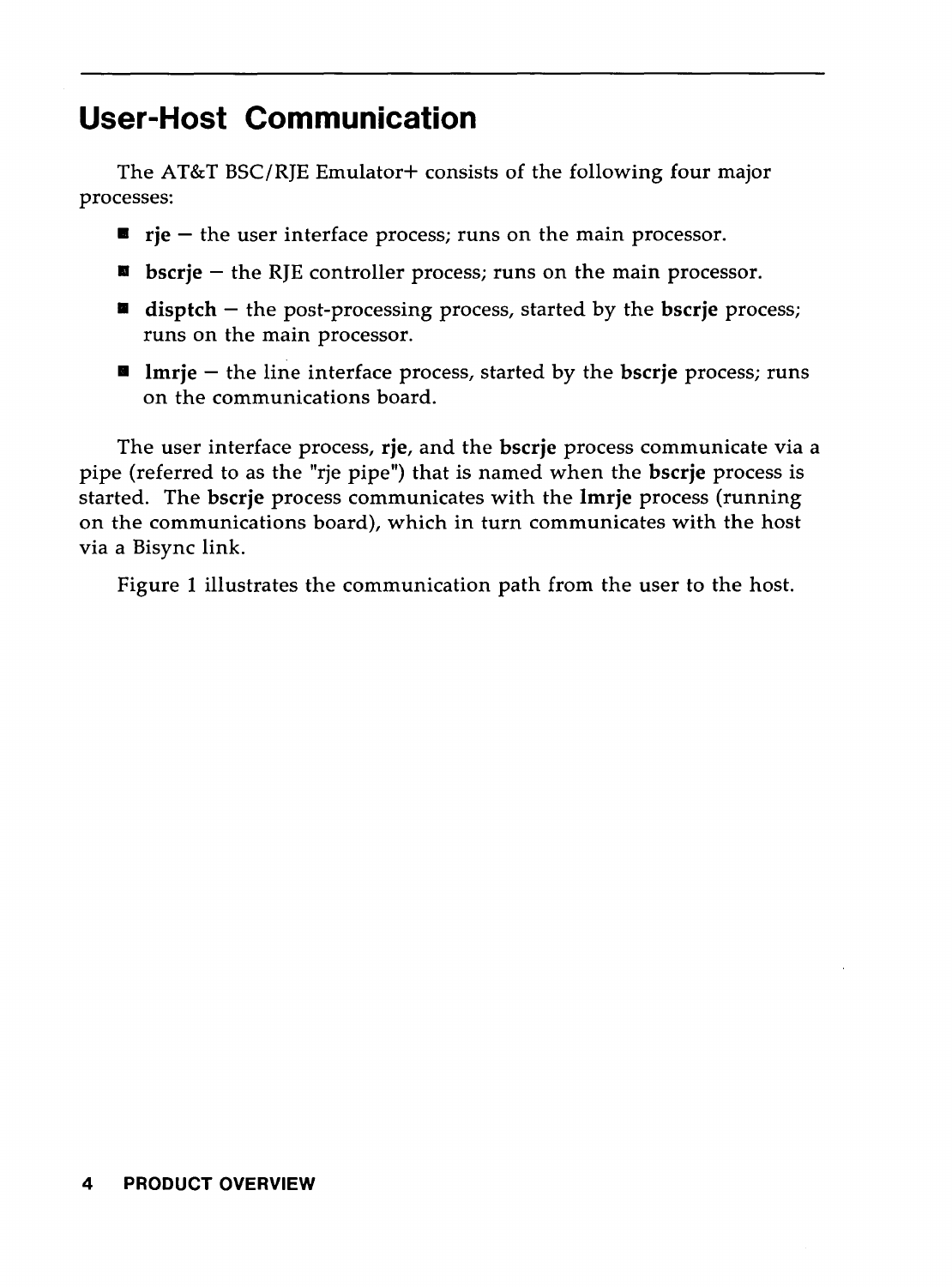### **User-Host Communication**

The AT&T BSC/RJE Emulator+ consists of the following four major processes:

- $\blacksquare$  rje the user interface process; runs on the main processor.
- $\blacksquare$  bscrie the RJE controller process; runs on the main processor.
- $\blacksquare$  disptch the post-processing process, started by the **bscrie** process; runs on the main processor.
- $\blacksquare$  Imrie the line interface process, started by the **bscrie** process; runs on the communications board.

The user interface process, rje, and the bscrje process communicate via a pipe (referred to as the "rje pipe") that is named when the bscrje process is started. The bscrje process communicates with the Imrje process (running on the communications board), which in turn communicates with the host via a Bisync link.

Figure 1 illustrates the communication path from the user to the host.

#### **4 PRODUCT OVERVIEW**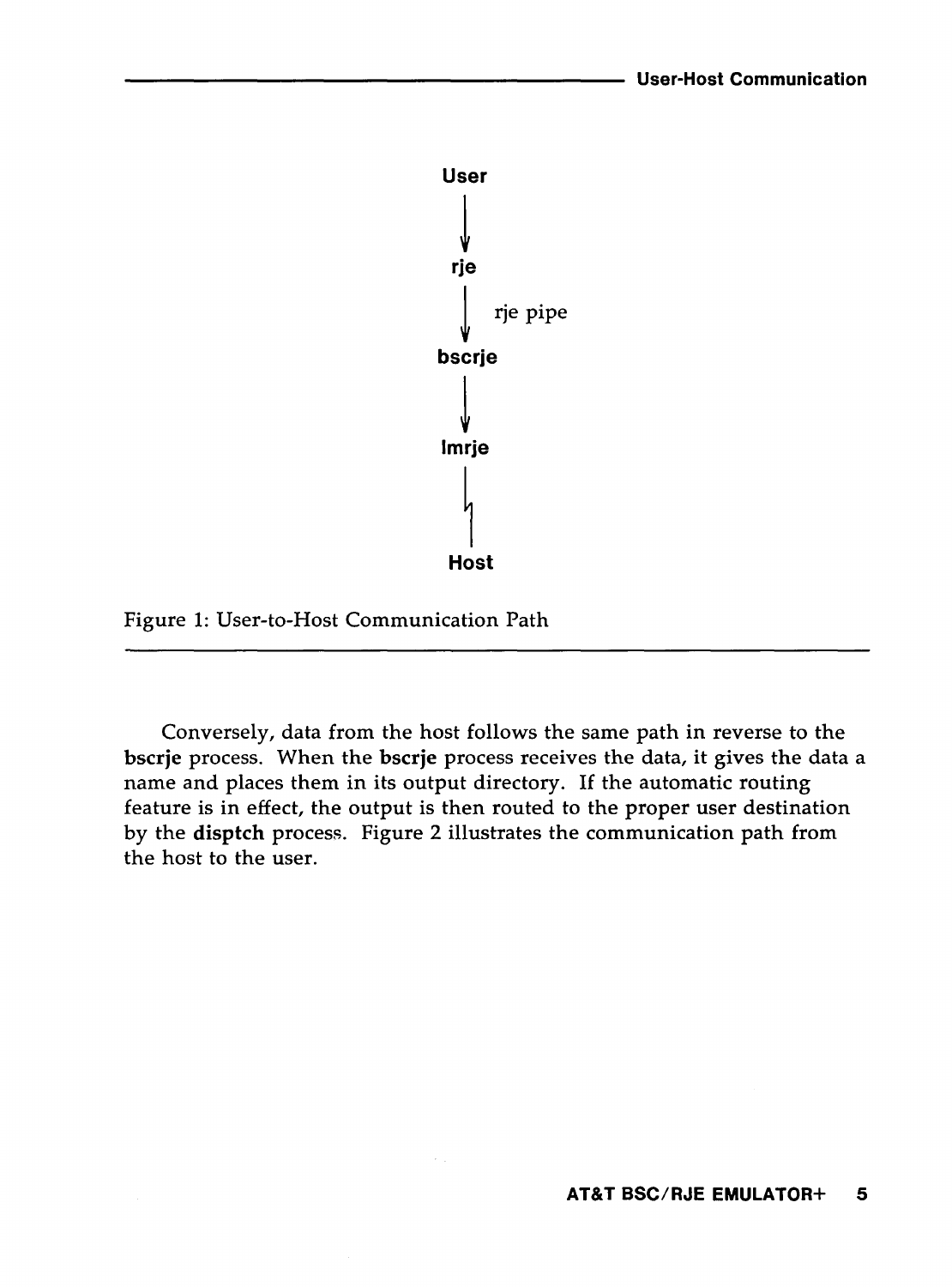

Figure 1: User-to-Host Communication Path

Conversely, data from the host follows the same path in reverse to the bscrje process. When the bscrje process receives the data, it gives the data a name and places them in its output directory. If the automatic routing feature is in effect, the output is then routed to the proper user destination by the disptch process. Figure 2 illustrates the communication path from the host to the user.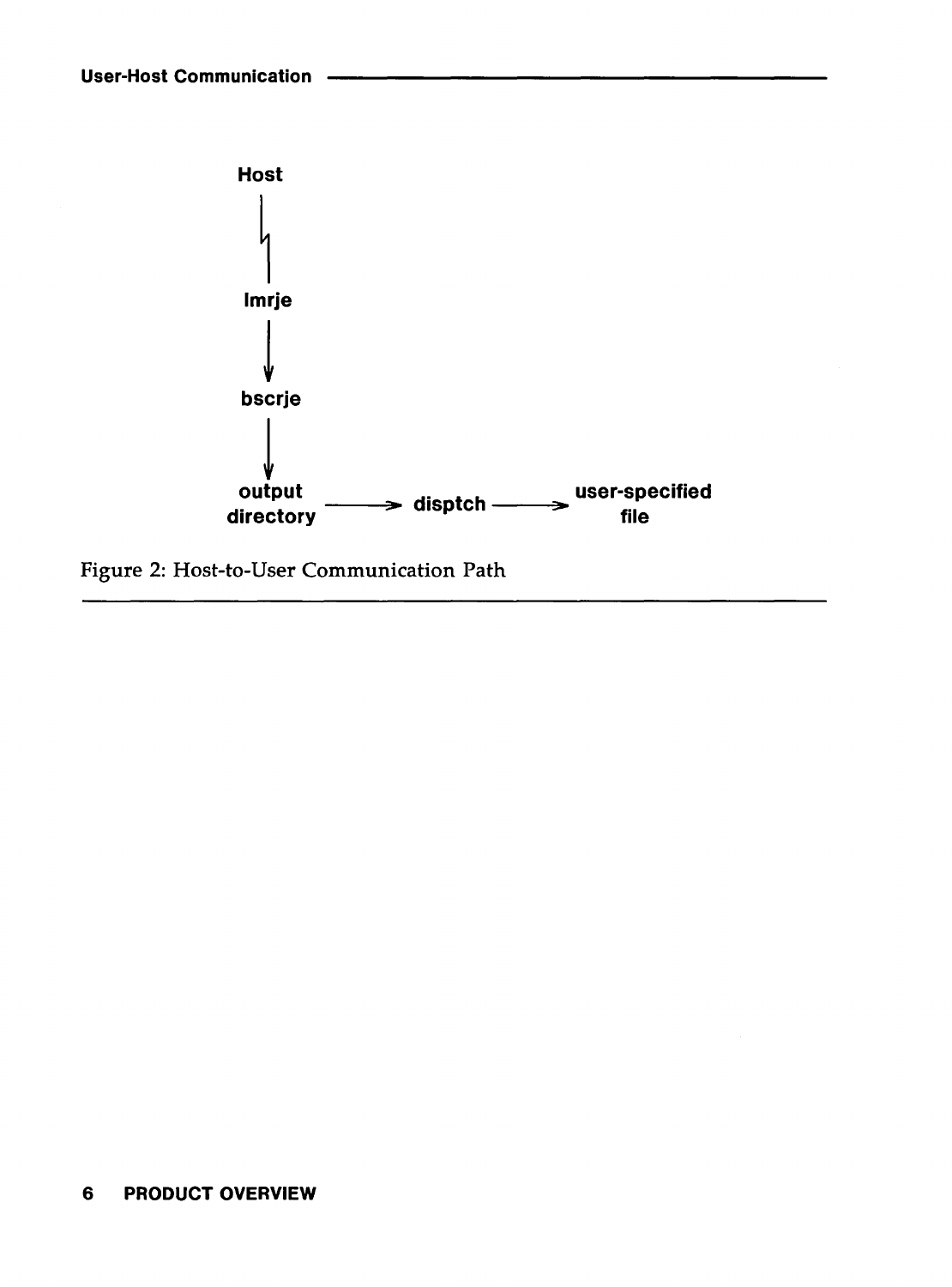

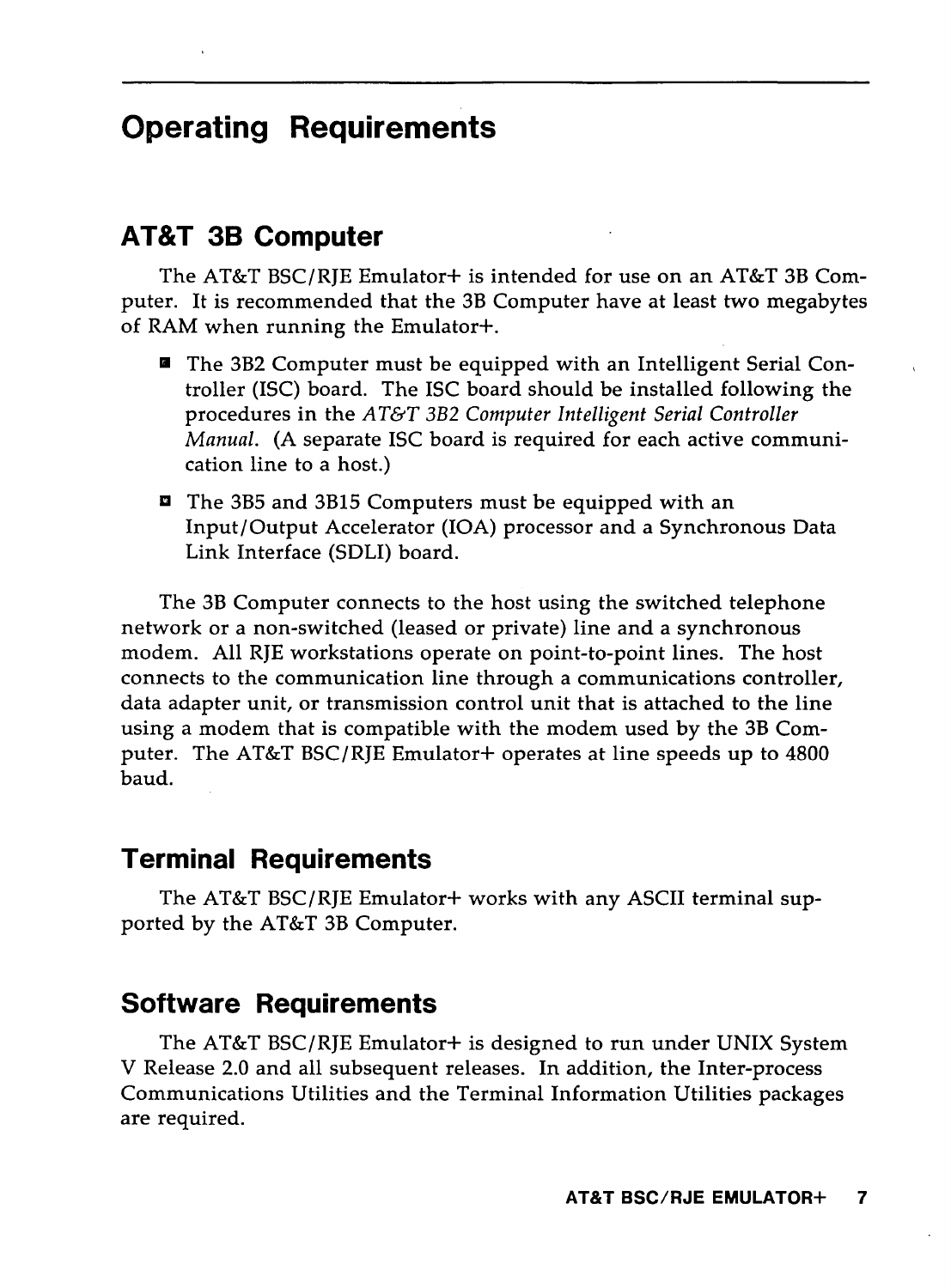### **Operating Requirements**

#### **AT&T 38 Computer**

The AT&T BSC/RJE Emulator+ is intended for use on an AT&T 3B Computer. It is recommended that the 3B Computer have at least two megabytes of RAM when running the Emulator+.

- **I** The 3B2 Computer must be equipped with an Intelligent Serial Controller (ISC) board. The ISC board should be installed following the procedures in the *AT&T 3B2 Computer Intelligent Serial Controller Manual.* (A separate ISC board is required for each active communication line to a host.)
- II The 3B5 and 3B15 Computers must be equipped with an Input/Output Accelerator (lOA) processor and a Synchronous Data Link Interface (SOLI) board.

The 3B Computer connects to the host using the switched telephone network or a non-switched (leased or private) line and a synchronous modem. All RJE workstations operate on point-to-point lines. The host connects to the communication line through a communications controller, data adapter unit, or transmission control unit that is attached to the line using a modem that is compatible with the modem used by the 3B Computer. The AT&T BSC/RJE Emulator+ operates at line speeds up to 4800 baud.

#### **Terminal Requirements**

The AT&T BSC/RJE Emulator+ works with any ASCII terminal supported by the AT&T 3B Computer.

#### **Software Requirements**

The AT&T BSC/RJE Emulator+ is designed to run under UNIX System V Release 2.0 and all subsequent releases. In addition, the Inter-process Communications Utilities and the Terminal Information Utilities packages are required.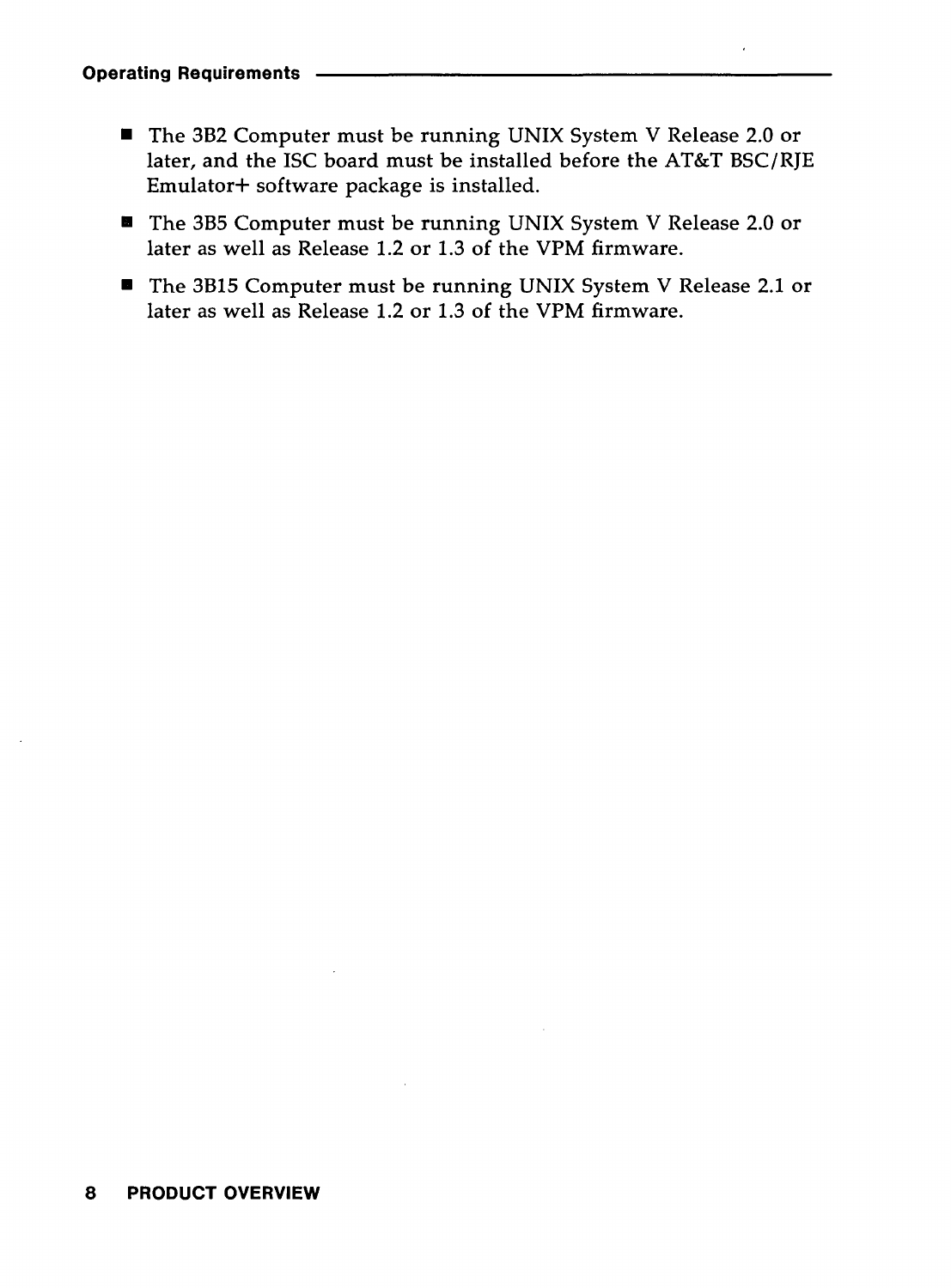- The 3B2 Computer must be running UNIX System V Release 2.0 or later, and the ISC board must be installed before the AT&T BSC/RIE Emulator+ software package is installed.
- The 3B5 Computer must be running UNIX System V Release 2.0 or later as well as Release 1.2 or 1.3 of the VPM firmware.
- The 3B15 Computer must be running UNIX System V Release 2.1 or later as well as Release 1.2 or 1.3 of the VPM firmware.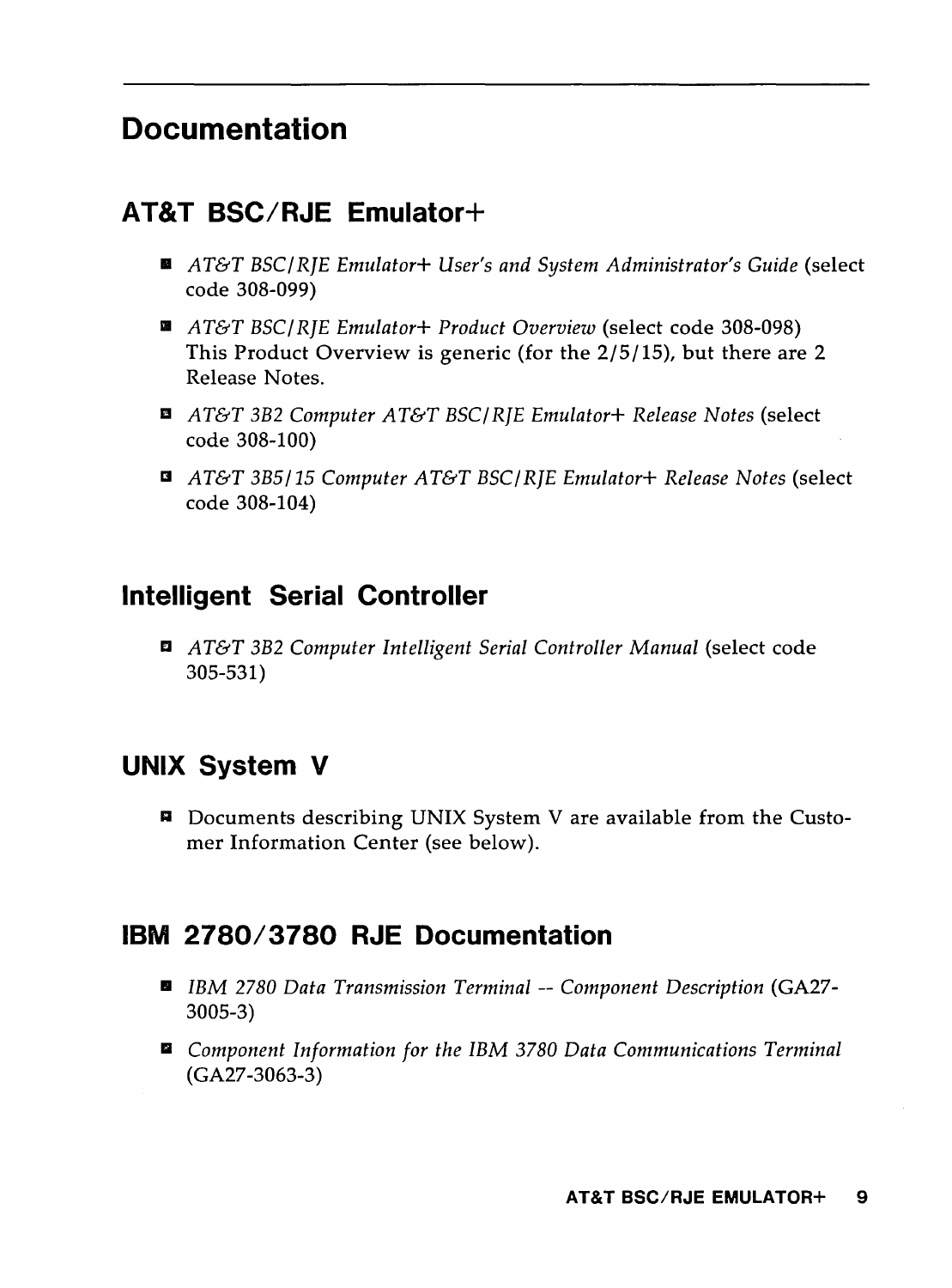### **Documentation**

### **AT&T BSC/RJE Emulator+**

- *AT&T BSC/ RJE Emulator+ User's and System Administrator's Guide* (select code 308-099)
- II *AT&T BSC/ RJE Emulator+ Product Overview* (select code 308-098) This Product Overview is generic (for the 2/5/15), but there are 2 Release Notes.
- <sup>B</sup>*AT&T 3B2 Computer AT&T BSC/ RJE Emulator+ Release Notes* (select code 308-100)
- tI *AT&T 3B5/15 Computer AT&T BSC/RJE Emulator+ Release Notes* (select code 308-104)

#### **Intelligent Serial Controller**

EI *AT&T 3B2 Computer Intelligent Serial Controller Manual* (select code 305-531)

### **UNIX System V**

■ Documents describing UNIX System V are available from the Customer Information Center (see below).

#### **IBM 2780/3780 RJE Documentation**

- *IBM 2780 Data Transmission Terminal -- Component Description* (GA27-3005-3)
- *Component Information for the IBM 3780 Data Communications Terminal*  (GA27 -3063-3)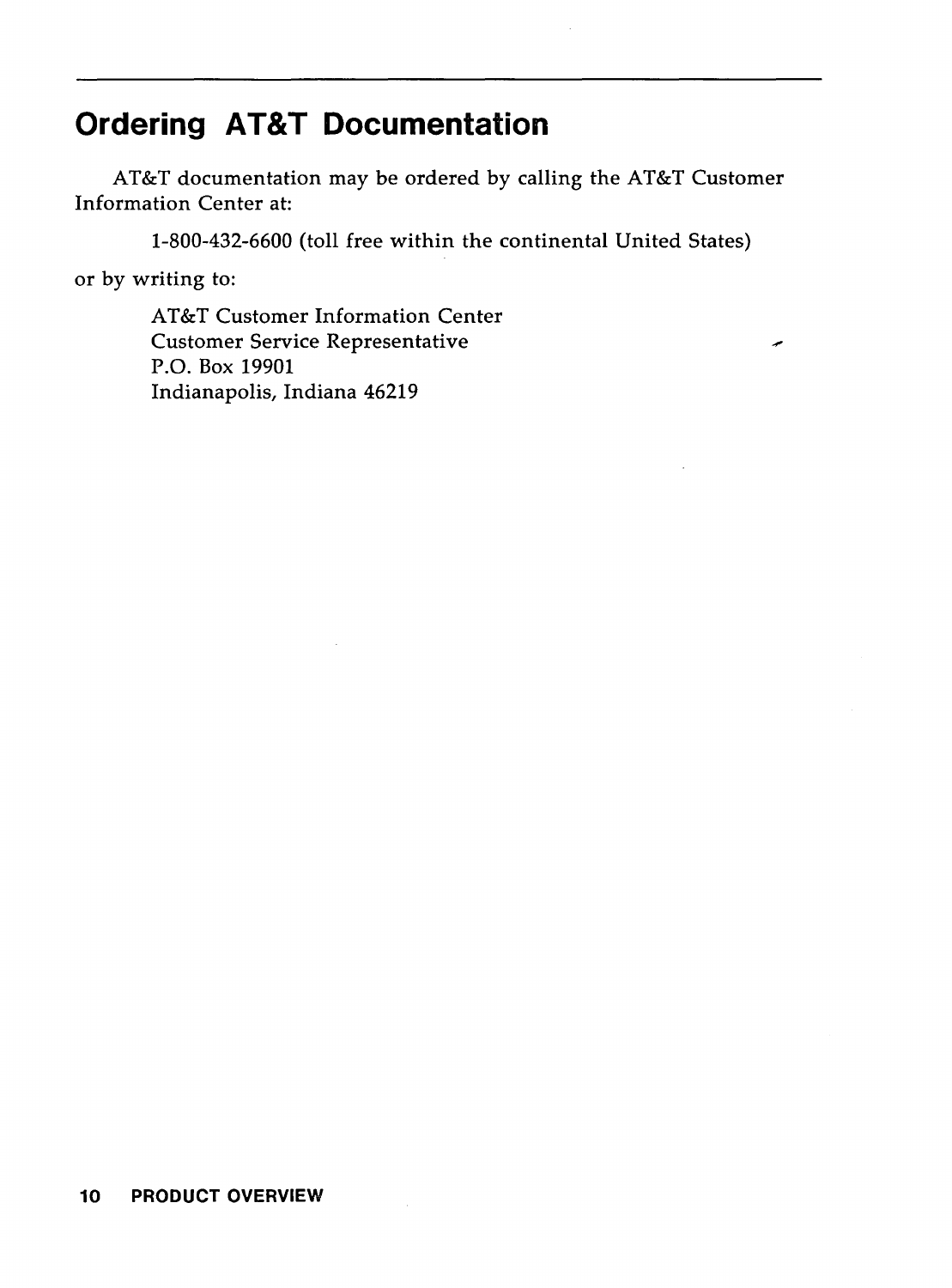### **Ordering AT&T Documentation**

AT&T documentation may be ordered by calling the AT&T Customer Information Center at:

1-800-432-6600 (toll free within the continental United States)

or by writing to:

AT&T Customer Information Center Customer Service Representative P.O. Box 19901 Indianapolis, Indiana 46219